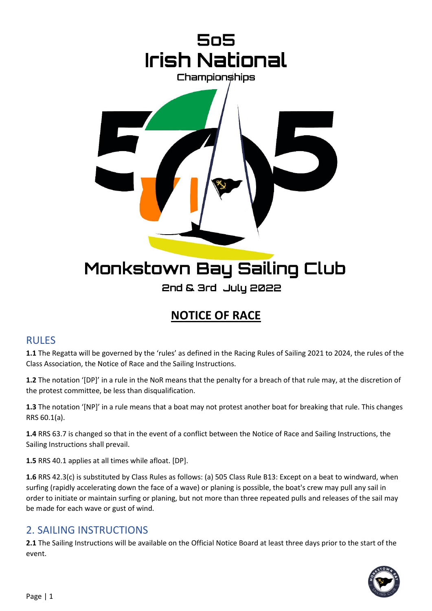

## **NOTICE OF RACE**

#### RULES

**1.1** The Regatta will be governed by the 'rules' as defined in the Racing Rules of Sailing 2021 to 2024, the rules of the Class Association, the Notice of Race and the Sailing Instructions.

**1.2** The notation '[DP]' in a rule in the NoR means that the penalty for a breach of that rule may, at the discretion of the protest committee, be less than disqualification.

**1.3** The notation '[NP]' in a rule means that a boat may not protest another boat for breaking that rule. This changes RRS 60.1(a).

**1.4** RRS 63.7 is changed so that in the event of a conflict between the Notice of Race and Sailing Instructions, the Sailing Instructions shall prevail.

**1.5** RRS 40.1 applies at all times while afloat. [DP].

**1.6** RRS 42.3(c) is substituted by Class Rules as follows: (a) 505 Class Rule B13: Except on a beat to windward, when surfing (rapidly accelerating down the face of a wave) or planing is possible, the boat's crew may pull any sail in order to initiate or maintain surfing or planing, but not more than three repeated pulls and releases of the sail may be made for each wave or gust of wind.

#### 2. SAILING INSTRUCTIONS

**2.1** The Sailing Instructions will be available on the Official Notice Board at least three days prior to the start of the event.

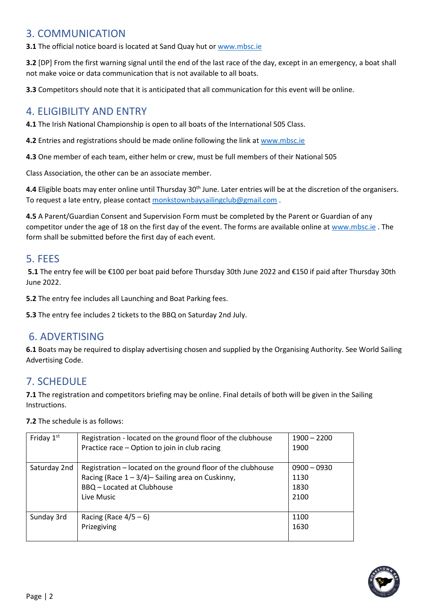#### 3. COMMUNICATION

**3.1** The official notice board is located at Sand Quay hut or [www.mbsc.ie](http://www.mbsc.ie/)

**3.2** [DP] From the first warning signal until the end of the last race of the day, except in an emergency, a boat shall not make voice or data communication that is not available to all boats.

**3.3** Competitors should note that it is anticipated that all communication for this event will be online.

#### 4. ELIGIBILITY AND ENTRY

**4.1** The Irish National Championship is open to all boats of the International 505 Class.

**4.2** Entries and registrations should be made online following the link a[t www.mbsc.ie](http://www.mbsc.ie/)

**4.3** One member of each team, either helm or crew, must be full members of their National 505

Class Association, the other can be an associate member.

**4.4** Eligible boats may enter online until Thursday 30<sup>th</sup> June. Later entries will be at the discretion of the organisers. To request a late entry, please contact [monkstownbaysailingclub@gmail.com](mailto:monkstownbaysailingclub@gmail.com) .

**4.5** A Parent/Guardian Consent and Supervision Form must be completed by the Parent or Guardian of any competitor under the age of 18 on the first day of the event. The forms are available online at [www.mbsc.ie](http://www.mbsc.ie/). The form shall be submitted before the first day of each event.

#### 5. FEES

**5.1** The entry fee will be €100 per boat paid before Thursday 30th June 2022 and €150 if paid after Thursday 30th June 2022.

**5.2** The entry fee includes all Launching and Boat Parking fees.

**5.3** The entry fee includes 2 tickets to the BBQ on Saturday 2nd July.

#### 6. ADVERTISING

**6.1** Boats may be required to display advertising chosen and supplied by the Organising Authority. See World Sailing Advertising Code.

#### 7. SCHEDULE

**7.1** The registration and competitors briefing may be online. Final details of both will be given in the Sailing Instructions.

#### **7.2** The schedule is as follows:

| Friday $1st$ | Registration - located on the ground floor of the clubhouse | $1900 - 2200$ |
|--------------|-------------------------------------------------------------|---------------|
|              | Practice race - Option to join in club racing               | 1900          |
|              |                                                             |               |
| Saturday 2nd | Registration - located on the ground floor of the clubhouse | $0900 - 0930$ |
|              | Racing (Race $1 - 3/4$ ) - Sailing area on Cuskinny,        | 1130          |
|              | <b>BBQ</b> - Located at Clubhouse                           | 1830          |
|              | Live Music                                                  | 2100          |
|              |                                                             |               |
| Sunday 3rd   | Racing (Race $4/5-6$ )                                      | 1100          |
|              | Prizegiving                                                 | 1630          |
|              |                                                             |               |

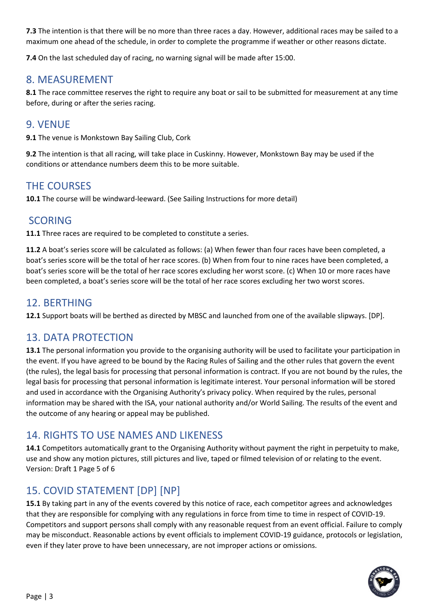**7.3** The intention is that there will be no more than three races a day. However, additional races may be sailed to a maximum one ahead of the schedule, in order to complete the programme if weather or other reasons dictate.

**7.4** On the last scheduled day of racing, no warning signal will be made after 15:00.

#### 8. MEASUREMENT

**8.1** The race committee reserves the right to require any boat or sail to be submitted for measurement at any time before, during or after the series racing.

#### 9. VENUE

**9.1** The venue is Monkstown Bay Sailing Club, Cork

**9.2** The intention is that all racing, will take place in Cuskinny. However, Monkstown Bay may be used if the conditions or attendance numbers deem this to be more suitable.

#### THE COURSES

**10.1** The course will be windward-leeward. (See Sailing Instructions for more detail)

#### SCORING

**11.1** Three races are required to be completed to constitute a series.

**11.2** A boat's series score will be calculated as follows: (a) When fewer than four races have been completed, a boat's series score will be the total of her race scores. (b) When from four to nine races have been completed, a boat's series score will be the total of her race scores excluding her worst score. (c) When 10 or more races have been completed, a boat's series score will be the total of her race scores excluding her two worst scores.

#### 12. BERTHING

**12.1** Support boats will be berthed as directed by MBSC and launched from one of the available slipways. [DP].

#### 13. DATA PROTECTION

**13.1** The personal information you provide to the organising authority will be used to facilitate your participation in the event. If you have agreed to be bound by the Racing Rules of Sailing and the other rules that govern the event (the rules), the legal basis for processing that personal information is contract. If you are not bound by the rules, the legal basis for processing that personal information is legitimate interest. Your personal information will be stored and used in accordance with the Organising Authority's privacy policy. When required by the rules, personal information may be shared with the ISA, your national authority and/or World Sailing. The results of the event and the outcome of any hearing or appeal may be published.

#### 14. RIGHTS TO USE NAMES AND LIKENESS

**14.1** Competitors automatically grant to the Organising Authority without payment the right in perpetuity to make, use and show any motion pictures, still pictures and live, taped or filmed television of or relating to the event. Version: Draft 1 Page 5 of 6

### 15. COVID STATEMENT [DP] [NP]

**15.1** By taking part in any of the events covered by this notice of race, each competitor agrees and acknowledges that they are responsible for complying with any regulations in force from time to time in respect of COVID-19. Competitors and support persons shall comply with any reasonable request from an event official. Failure to comply may be misconduct. Reasonable actions by event officials to implement COVID-19 guidance, protocols or legislation, even if they later prove to have been unnecessary, are not improper actions or omissions.

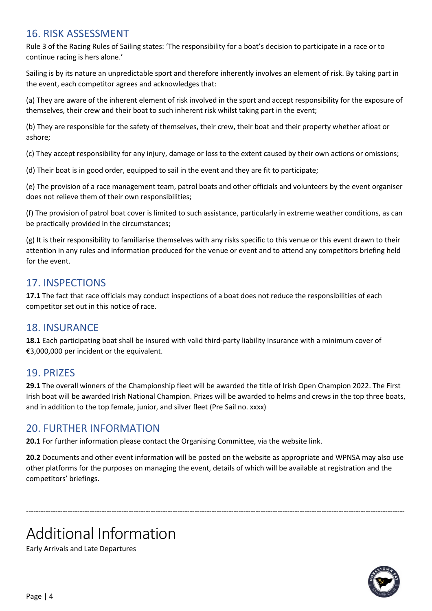#### 16. RISK ASSESSMENT

Rule 3 of the Racing Rules of Sailing states: 'The responsibility for a boat's decision to participate in a race or to continue racing is hers alone.'

Sailing is by its nature an unpredictable sport and therefore inherently involves an element of risk. By taking part in the event, each competitor agrees and acknowledges that:

(a) They are aware of the inherent element of risk involved in the sport and accept responsibility for the exposure of themselves, their crew and their boat to such inherent risk whilst taking part in the event;

(b) They are responsible for the safety of themselves, their crew, their boat and their property whether afloat or ashore;

(c) They accept responsibility for any injury, damage or loss to the extent caused by their own actions or omissions;

(d) Their boat is in good order, equipped to sail in the event and they are fit to participate;

(e) The provision of a race management team, patrol boats and other officials and volunteers by the event organiser does not relieve them of their own responsibilities;

(f) The provision of patrol boat cover is limited to such assistance, particularly in extreme weather conditions, as can be practically provided in the circumstances;

(g) It is their responsibility to familiarise themselves with any risks specific to this venue or this event drawn to their attention in any rules and information produced for the venue or event and to attend any competitors briefing held for the event.

#### 17. INSPECTIONS

**17.1** The fact that race officials may conduct inspections of a boat does not reduce the responsibilities of each competitor set out in this notice of race.

#### 18. INSURANCE

**18.1** Each participating boat shall be insured with valid third-party liability insurance with a minimum cover of €3,000,000 per incident or the equivalent.

#### 19. PRIZES

**29.1** The overall winners of the Championship fleet will be awarded the title of Irish Open Champion 2022. The First Irish boat will be awarded Irish National Champion. Prizes will be awarded to helms and crews in the top three boats, and in addition to the top female, junior, and silver fleet (Pre Sail no. xxxx)

#### 20. FURTHER INFORMATION

**20.1** For further information please contact the Organising Committee, via the website link.

**20.2** Documents and other event information will be posted on the website as appropriate and WPNSA may also use other platforms for the purposes on managing the event, details of which will be available at registration and the competitors' briefings.

-----------------------------------------------------------------------------------------------------------------------------------------------------------

# Additional Information

Early Arrivals and Late Departures